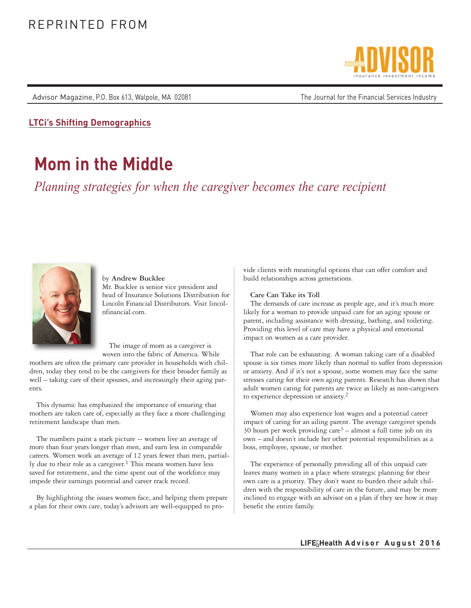Advisor Magazine, P.O. Box 613, Walpole, MA 02081 The Sournal for the Financial Services Industry



**LTCi's Shifting Demographics**

# **Mom in the Middle**

*Planning strategies for when the caregiver becomes the care recipient*



by **Andrew Bucklee** Mr. Bucklee is senior vice president and head of Insurance Solutions Distribution for Lincoln Financial Distributors. Visit lincolnfinancial.com.

The image of mom as a caregiver is woven into the fabric of America. While

mothers are often the primary care provider in households with children, today they tend to be the caregivers for their broader family as well – taking care of their spouses, and increasingly their aging parents.

This dynamic has emphasized the importance of ensuring that mothers are taken care of, especially as they face a more challenging retirement landscape than men.

The numbers paint a stark picture -- women live an average of more than four years longer than men, and earn less in comparable careers. Women work an average of 12 years fewer than men, partially due to their role as a caregiver.<sup>1</sup> This means women have less saved for retirement, and the time spent out of the workforce may impede their earnings potential and career track record.

By highlighting the issues women face, and helping them prepare a plan for their own care, today's advisors are well-equipped to provide clients with meaningful options that can offer comfort and build relationships across generations.

## **Care Can Take its Toll**

The demands of care increase as people age, and it's much more likely for a woman to provide unpaid care for an aging spouse or parent, including assistance with dressing, bathing, and toileting. Providing this level of care may have a physical and emotional impact on women as a care provider.

That role can be exhausting. A woman taking care of a disabled spouse is six times more likely than normal to suffer from depression or anxiety. And if it's not a spouse, some women may face the same stresses caring for their own aging parents. Research has shown that adult women caring for parents are twice as likely as non-caregivers to experience depression or anxiety.2

Women may also experience lost wages and a potential career impact of caring for an ailing parent. The average caregiver spends 30 hours per week providing  $care<sup>3</sup> - almost a full time job on its$ own – and doesn't include her other potential responsibilities as a boss, employee, spouse, or mother.

The experience of personally providing all of this unpaid care leaves many women in a place where strategic planning for their own care is a priority. They don't want to burden their adult children with the responsibility of care in the future, and may be more inclined to engage with an advisor on a plan if they see how it may benefit the entire family.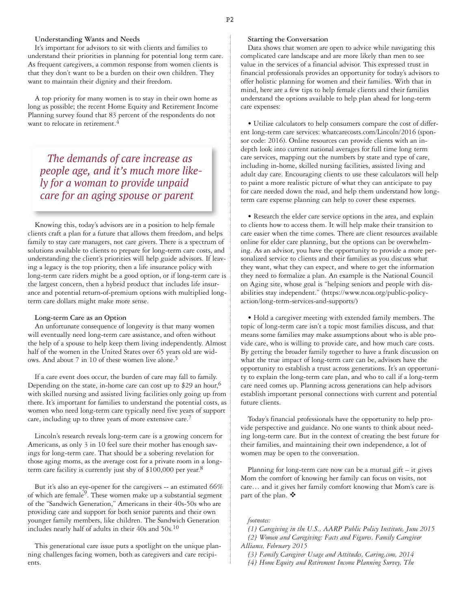## **Understanding Wants and Needs**

It's important for advisors to sit with clients and families to understand their priorities in planning for potential long term care. As frequent caregivers, a common response from women clients is that they don't want to be a burden on their own children. They want to maintain their dignity and their freedom.

A top priority for many women is to stay in their own home as long as possible; the recent Home Equity and Retirement Income Planning survey found that 83 percent of the respondents do not want to relocate in retirement.<sup>4</sup>

*The demands of care increase as people age, and it's much more likely for a woman to provide unpaid care for an aging spouse or parent*

Knowing this, today's advisors are in a position to help female clients craft a plan for a future that allows them freedom, and helps family to stay care managers, not care givers. There is a spectrum of solutions available to clients to prepare for long-term care costs, and understanding the client's priorities will help guide advisors. If leaving a legacy is the top priority, then a life insurance policy with long-term care riders might be a good option, or if long-term care is the largest concern, then a hybrid product that includes life insurance and potential return-of-premium options with multiplied longterm care dollars might make more sense.

#### **Long-term Care as an Option**

An unfortunate consequence of longevity is that many women will eventually need long-term care assistance, and often without the help of a spouse to help keep them living independently. Almost half of the women in the United States over 65 years old are widows. And about 7 in 10 of these women live alone.5

If a care event does occur, the burden of care may fall to family. Depending on the state, in-home care can cost up to \$29 an hour,  $6\frac{1}{2}$ with skilled nursing and assisted living facilities only going up from there. It's important for families to understand the potential costs, as women who need long-term care typically need five years of support care, including up to three years of more extensive care.7

Lincoln's research reveals long-term care is a growing concern for Americans, as only 3 in 10 feel sure their mother has enough savings for long-term care. That should be a sobering revelation for those aging moms, as the average cost for a private room in a longterm care facility is currently just shy of  $$100,000$  per year.<sup>8</sup>

But it's also an eye-opener for the caregivers -- an estimated 66% of which are female<sup>9</sup>. These women make up a substantial segment of the "Sandwich Generation," Americans in their 40s-50s who are providing care and support for both senior parents and their own younger family members, like children. The Sandwich Generation includes nearly half of adults in their 40s and 50s.10

This generational care issue puts a spotlight on the unique planning challenges facing women, both as caregivers and care recipients.

### **Starting the Conversation**

Data shows that women are open to advice while navigating this complicated care landscape and are more likely than men to see value in the services of a financial advisor. This expressed trust in financial professionals provides an opportunity for today's advisors to offer holistic planning for women and their families. With that in mind, here are a few tips to help female clients and their families understand the options available to help plan ahead for long-term care expenses:

• Utilize calculators to help consumers compare the cost of different long-term care services: whatcarecosts.com/Lincoln/2016 (sponsor code: 2016). Online resources can provide clients with an indepth look into current national averages for full time long term care services, mapping out the numbers by state and type of care, including in-home, skilled nursing facilities, assisted living and adult day care. Encouraging clients to use these calculators will help to paint a more realistic picture of what they can anticipate to pay for care needed down the road, and help them understand how longterm care expense planning can help to cover these expenses.

• Research the elder care service options in the area, and explain to clients how to access them. It will help make their transition to care easier when the time comes. There are client resources available online for elder care planning, but the options can be overwhelming. As an advisor, you have the opportunity to provide a more personalized service to clients and their families as you discuss what they want, what they can expect, and where to get the information they need to formalize a plan. An example is the National Council on Aging site, whose goal is "helping seniors and people with disabilities stay independent." (https://www.ncoa.org/public-policyaction/long-term-services-and-supports/)

• Hold a caregiver meeting with extended family members. The topic of long-term care isn't a topic most families discuss, and that means some families may make assumptions about who is able provide care, who is willing to provide care, and how much care costs. By getting the broader family together to have a frank discussion on what the true impact of long-term care can be, advisors have the opportunity to establish a trust across generations. It's an opportunity to explain the long-term care plan, and who to call if a long-term care need comes up. Planning across generations can help advisors establish important personal connections with current and potential future clients.

Today's financial professionals have the opportunity to help provide perspective and guidance. No one wants to think about needing long-term care. But in the context of creating the best future for their families, and maintaining their own independence, a lot of women may be open to the conversation.

Planning for long-term care now can be a mutual gift  $-$  it gives Mom the comfort of knowing her family can focus on visits, not care… and it gives her family comfort knowing that Mom's care is part of the plan.  $\mathbf{\hat{P}}$ 

#### *footnotes:*

*[1] Caregiving in the U.S., AARP Public Policy Institute, June 2015 [2] Women and Caregiving: Facts and Figures, Family Caregiver Alliance, February 2015*

*[3] Family Caregiver Usage and Attitudes, Caring.com, 2014*

*[4] Home Equity and Retirement Income Planning Survey, The*